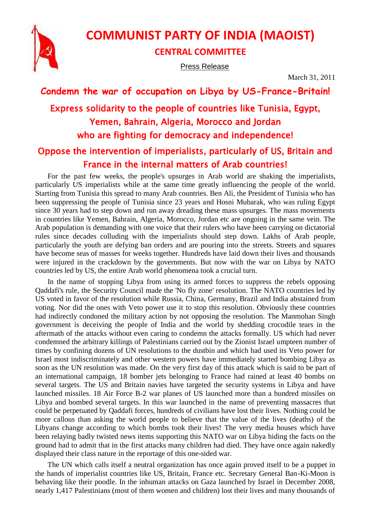

# **COMMUNIST PARTY OF INDIA (MAOIST)**

### **CENTRAL COMMITTEE**

Press Release

March 31, 2011

# **Condemn the war of occupation on Libya by US-France-Britain!** Express solidarity to the people of countries like Tunisia, Egypt, Yemen, Bahrain, Algeria, Morocco and Jordan who are fighting for democracy and independence!

## Oppose the intervention of imperialists, particularly of US, Britain and France in the internal matters of Arab countries!

For the past few weeks, the people's upsurges in Arab world are shaking the imperialists, particularly US imperialists while at the same time greatly influencing the people of the world. Starting from Tunisia this spread to many Arab countries. Ben Ali, the President of Tunisia who has been suppressing the people of Tunisia since 23 years and Hosni Mubarak, who was ruling Egypt since 30 years had to step down and run away dreading these mass upsurges. The mass movements in countries like Yemen, Bahrain, Algeria, Morocco, Jordan etc are ongoing in the same vein. The Arab population is demanding with one voice that their rulers who have been carrying on dictatorial rules since decades colluding with the imperialists should step down. Lakhs of Arab people, particularly the youth are defying ban orders and are pouring into the streets. Streets and squares have become seas of masses for weeks together. Hundreds have laid down their lives and thousands were injured in the crackdown by the governments. But now with the war on Libya by NATO countries led by US, the entire Arab world phenomena took a crucial turn.

In the name of stopping Libya from using its armed forces to suppress the rebels opposing Qaddafi's rule, the Security Council made the 'No fly zone' resolution. The NATO countries led by US voted in favor of the resolution while Russia, China, Germany, Brazil and India abstained from voting. Nor did the ones with Veto power use it to stop this resolution. Obviously these countries had indirectly condoned the military action by not opposing the resolution. The Manmohan Singh government is deceiving the people of India and the world by shedding crocodile tears in the aftermath of the attacks without even caring to condemn the attacks formally. US which had never condemned the arbitrary killings of Palestinians carried out by the Zionist Israel umpteen number of times by confining dozens of UN resolutions to the dustbin and which had used its Veto power for Israel most indiscriminately and other western powers have immediately started bombing Libya as soon as the UN resolution was made. On the very first day of this attack which is said to be part of an international campaign, 18 bomber jets belonging to France had rained at least 40 bombs on several targets. The US and Britain navies have targeted the security systems in Libya and have launched missiles. 18 Air Force B-2 war planes of US launched more than a hundred missiles on Libya and bombed several targets. In this war launched in the name of preventing massacres that could be perpetuated by Qaddafi forces, hundreds of civilians have lost their lives. Nothing could be more callous than asking the world people to believe that the value of the lives (deaths) of the Libyans change according to which bombs took their lives! The very media houses which have been relaying badly twisted news items supporting this NATO war on Libya hiding the facts on the ground had to admit that in the first attacks many children had died. They have once again nakedly displayed their class nature in the reportage of this one-sided war.

The UN which calls itself a neutral organization has once again proved itself to be a puppet in the hands of imperialist countries like US, Britain, France etc. Secretary General Ban-Ki-Moon is behaving like their poodle. In the inhuman attacks on Gaza launched by Israel in December 2008, nearly 1,417 Palestinians (most of them women and children) lost their lives and many thousands of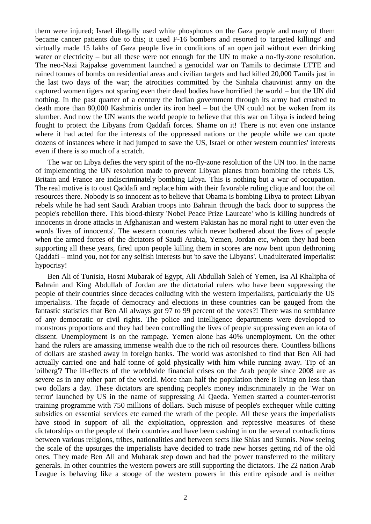them were injured; Israel illegally used white phosphorus on the Gaza people and many of them became cancer patients due to this; it used F-16 bombers and resorted to 'targeted killings' and virtually made 15 lakhs of Gaza people live in conditions of an open jail without even drinking water or electricity – but all these were not enough for the UN to make a no-fly-zone resolution. The neo-Nazi Rajpakse government launched a genocidal war on Tamils to decimate LTTE and rained tonnes of bombs on residential areas and civilian targets and had killed 20,000 Tamils just in the last two days of the war; the atrocities committed by the Sinhala chauvinist army on the captured women tigers not sparing even their dead bodies have horrified the world – but the UN did nothing. In the past quarter of a century the Indian government through its army had crushed to death more than 80,000 Kashmiris under its iron heel – but the UN could not be woken from its slumber. And now the UN wants the world people to believe that this war on Libya is indeed being fought to protect the Libyans from Qaddafi forces. Shame on it! There is not even one instance where it had acted for the interests of the oppressed nations or the people while we can quote dozens of instances where it had jumped to save the US, Israel or other western countries' interests even if there is so much of a scratch.

The war on Libya defies the very spirit of the no-fly-zone resolution of the UN too. In the name of implementing the UN resolution made to prevent Libyan planes from bombing the rebels US, Britain and France are indiscriminately bombing Libya. This is nothing but a war of occupation. The real motive is to oust Qaddafi and replace him with their favorable ruling clique and loot the oil resources there. Nobody is so innocent as to believe that Obama is bombing Libya to protect Libyan rebels while he had sent Saudi Arabian troops into Bahrain through the back door to suppress the people's rebellion there. This blood-thirsty 'Nobel Peace Prize Laureate' who is killing hundreds of innocents in drone attacks in Afghanistan and western Pakistan has no moral right to utter even the words 'lives of innocents'. The western countries which never bothered about the lives of people when the armed forces of the dictators of Saudi Arabia, Yemen, Jordan etc, whom they had been supporting all these years, fired upon people killing them in scores are now bent upon dethroning Qaddafi – mind you, not for any selfish interests but 'to save the Libyans'. Unadulterated imperialist hypocrisy!

Ben Ali of Tunisia, Hosni Mubarak of Egypt, Ali Abdullah Saleh of Yemen, Isa Al Khalipha of Bahrain and King Abdullah of Jordan are the dictatorial rulers who have been suppressing the people of their countries since decades colluding with the western imperialists, particularly the US imperialists. The façade of democracy and elections in these countries can be gauged from the fantastic statistics that Ben Ali always got 97 to 99 percent of the votes?! There was no semblance of any democratic or civil rights. The police and intelligence departments were developed to monstrous proportions and they had been controlling the lives of people suppressing even an iota of dissent. Unemployment is on the rampage. Yemen alone has 40% unemployment. On the other hand the rulers are amassing immense wealth due to the rich oil resources there. Countless billions of dollars are stashed away in foreign banks. The world was astonished to find that Ben Ali had actually carried one and half tonne of gold physically with him while running away. Tip of an 'oilberg'? The ill-effects of the worldwide financial crises on the Arab people since 2008 are as severe as in any other part of the world. More than half the population there is living on less than two dollars a day. These dictators are spending people's money indiscriminately in the 'War on terror' launched by US in the name of suppressing Al Qaeda. Yemen started a counter-terrorist training programme with 750 millions of dollars. Such misuse of people's exchequer while cutting subsidies on essential services etc earned the wrath of the people. All these years the imperialists have stood in support of all the exploitation, oppression and repressive measures of these dictatorships on the people of their countries and have been cashing in on the several contradictions between various religions, tribes, nationalities and between sects like Shias and Sunnis. Now seeing the scale of the upsurges the imperialists have decided to trade new horses getting rid of the old ones. They made Ben Ali and Mubarak step down and had the power transferred to the military generals. In other countries the western powers are still supporting the dictators. The 22 nation Arab League is behaving like a stooge of the western powers in this entire episode and is neither